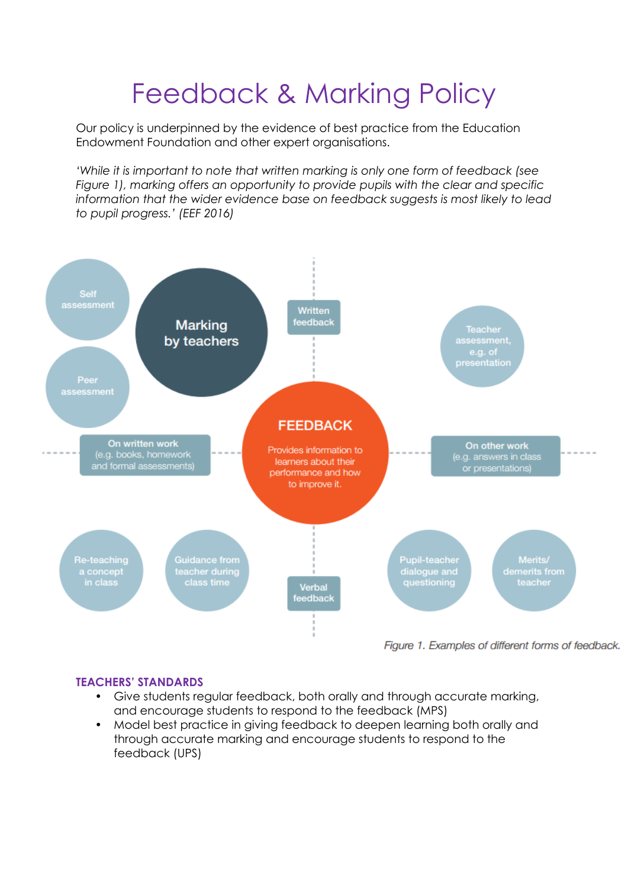# Feedback & Marking Policy

Our policy is underpinned by the evidence of best practice from the Education Endowment Foundation and other expert organisations.

*'While it is important to note that written marking is only one form of feedback (see Figure 1), marking offers an opportunity to provide pupils with the clear and specific information that the wider evidence base on feedback suggests is most likely to lead to pupil progress.' (EEF 2016)*



# **TEACHERS' STANDARDS**

- Give students regular feedback, both orally and through accurate marking, and encourage students to respond to the feedback (MPS)
- Model best practice in giving feedback to deepen learning both orally and through accurate marking and encourage students to respond to the feedback (UPS)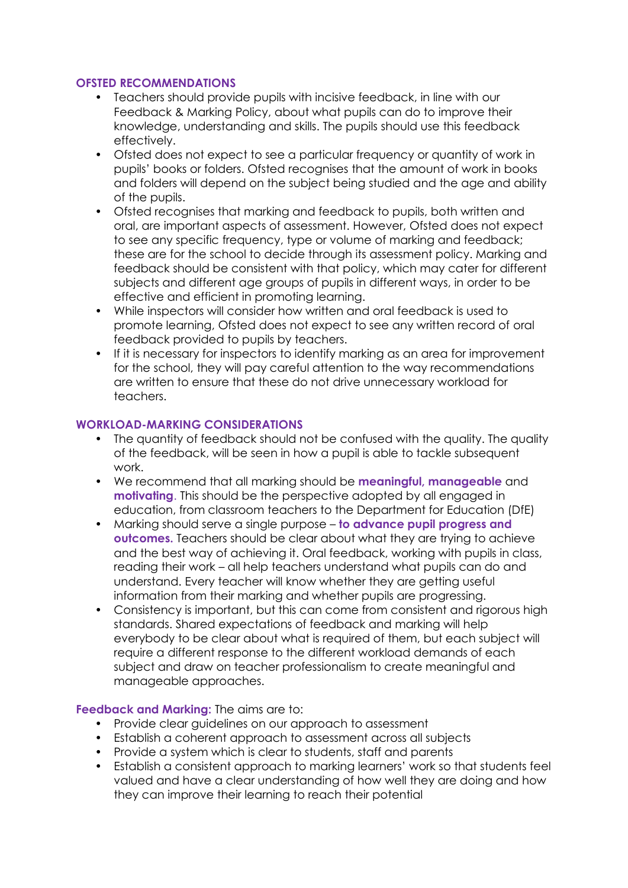# **OFSTED RECOMMENDATIONS**

- Teachers should provide pupils with incisive feedback, in line with our Feedback & Marking Policy, about what pupils can do to improve their knowledge, understanding and skills. The pupils should use this feedback effectively.
- Ofsted does not expect to see a particular frequency or quantity of work in pupils' books or folders. Ofsted recognises that the amount of work in books and folders will depend on the subject being studied and the age and ability of the pupils.
- Ofsted recognises that marking and feedback to pupils, both written and oral, are important aspects of assessment. However, Ofsted does not expect to see any specific frequency, type or volume of marking and feedback; these are for the school to decide through its assessment policy. Marking and feedback should be consistent with that policy, which may cater for different subjects and different age groups of pupils in different ways, in order to be effective and efficient in promoting learning.
- While inspectors will consider how written and oral feedback is used to promote learning, Ofsted does not expect to see any written record of oral feedback provided to pupils by teachers.
- If it is necessary for inspectors to identify marking as an area for improvement for the school, they will pay careful attention to the way recommendations are written to ensure that these do not drive unnecessary workload for teachers.

#### **WORKLOAD-MARKING CONSIDERATIONS**

- The quantity of feedback should not be confused with the quality. The quality of the feedback, will be seen in how a pupil is able to tackle subsequent work.
- We recommend that all marking should be **meaningful, manageable** and **motivating**. This should be the perspective adopted by all engaged in education, from classroom teachers to the Department for Education (DfE)
- Marking should serve a single purpose **to advance pupil progress and outcomes.** Teachers should be clear about what they are trying to achieve and the best way of achieving it. Oral feedback, working with pupils in class, reading their work – all help teachers understand what pupils can do and understand. Every teacher will know whether they are getting useful information from their marking and whether pupils are progressing.
- Consistency is important, but this can come from consistent and rigorous high standards. Shared expectations of feedback and marking will help everybody to be clear about what is required of them, but each subject will require a different response to the different workload demands of each subject and draw on teacher professionalism to create meaningful and manageable approaches.

#### **Feedback and Marking:** The aims are to:

- Provide clear guidelines on our approach to assessment
- Establish a coherent approach to assessment across all subjects
- Provide a system which is clear to students, staff and parents
- Establish a consistent approach to marking learners' work so that students feel valued and have a clear understanding of how well they are doing and how they can improve their learning to reach their potential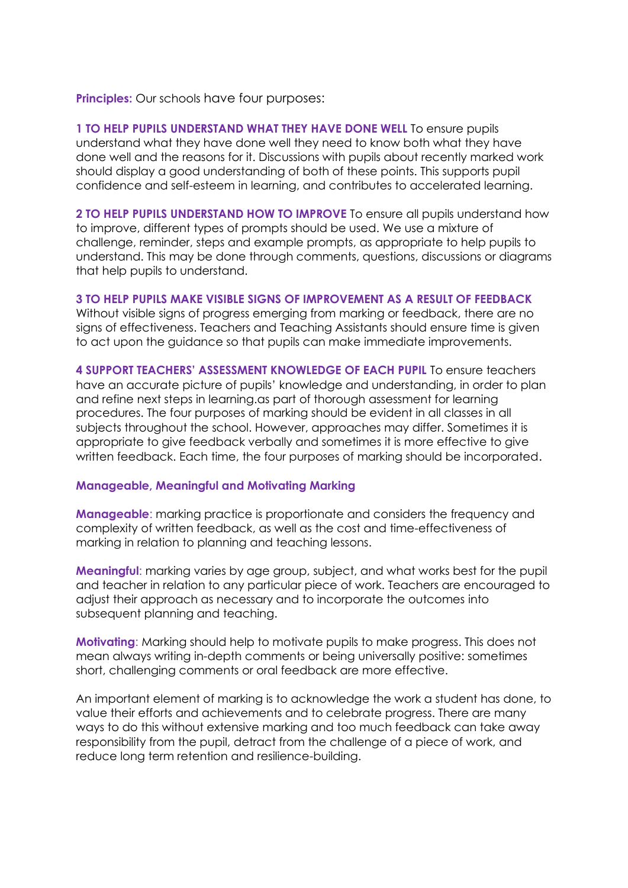**Principles:** Our schools have four purposes:

**1 TO HELP PUPILS UNDERSTAND WHAT THEY HAVE DONE WELL** To ensure pupils understand what they have done well they need to know both what they have done well and the reasons for it. Discussions with pupils about recently marked work should display a good understanding of both of these points. This supports pupil confidence and self-esteem in learning, and contributes to accelerated learning.

**2 TO HELP PUPILS UNDERSTAND HOW TO IMPROVE** To ensure all pupils understand how to improve, different types of prompts should be used. We use a mixture of challenge, reminder, steps and example prompts, as appropriate to help pupils to understand. This may be done through comments, questions, discussions or diagrams that help pupils to understand.

## **3 TO HELP PUPILS MAKE VISIBLE SIGNS OF IMPROVEMENT AS A RESULT OF FEEDBACK**

Without visible signs of progress emerging from marking or feedback, there are no signs of effectiveness. Teachers and Teaching Assistants should ensure time is given to act upon the guidance so that pupils can make immediate improvements.

**4 SUPPORT TEACHERS' ASSESSMENT KNOWLEDGE OF EACH PUPIL** To ensure teachers have an accurate picture of pupils' knowledge and understanding, in order to plan and refine next steps in learning.as part of thorough assessment for learning procedures. The four purposes of marking should be evident in all classes in all subjects throughout the school. However, approaches may differ. Sometimes it is appropriate to give feedback verbally and sometimes it is more effective to give written feedback. Each time, the four purposes of marking should be incorporated.

# **Manageable, Meaningful and Motivating Marking**

**Manageable**: marking practice is proportionate and considers the frequency and complexity of written feedback, as well as the cost and time-effectiveness of marking in relation to planning and teaching lessons.

**Meaningful**: marking varies by age group, subject, and what works best for the pupil and teacher in relation to any particular piece of work. Teachers are encouraged to adjust their approach as necessary and to incorporate the outcomes into subsequent planning and teaching.

**Motivating**: Marking should help to motivate pupils to make progress. This does not mean always writing in-depth comments or being universally positive: sometimes short, challenging comments or oral feedback are more effective.

An important element of marking is to acknowledge the work a student has done, to value their efforts and achievements and to celebrate progress. There are many ways to do this without extensive marking and too much feedback can take away responsibility from the pupil, detract from the challenge of a piece of work, and reduce long term retention and resilience-building.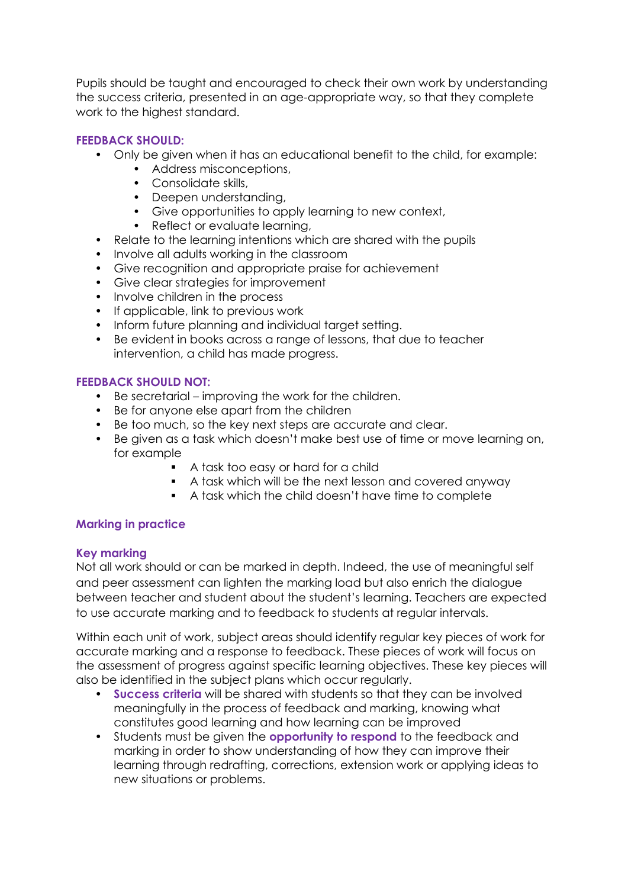Pupils should be taught and encouraged to check their own work by understanding the success criteria, presented in an age-appropriate way, so that they complete work to the highest standard.

# **FEEDBACK SHOULD:**

- Only be given when it has an educational benefit to the child, for example:
	- Address misconceptions,
	- Consolidate skills,
	- Deepen understanding,
	- Give opportunities to apply learning to new context,
	- Reflect or evaluate learning,
- Relate to the learning intentions which are shared with the pupils
- Involve all adults working in the classroom
- Give recognition and appropriate praise for achievement
- Give clear strategies for improvement
- Involve children in the process
- If applicable, link to previous work
- Inform future planning and individual target setting.
- Be evident in books across a range of lessons, that due to teacher intervention, a child has made progress.

## **FEEDBACK SHOULD NOT:**

- Be secretarial improving the work for the children.
- Be for anyone else apart from the children
- Be too much, so the key next steps are accurate and clear.
- Be given as a task which doesn't make best use of time or move learning on, for example
	- A task too easy or hard for a child
	- A task which will be the next lesson and covered anyway
	- A task which the child doesn't have time to complete

# **Marking in practice**

#### **Key marking**

Not all work should or can be marked in depth. Indeed, the use of meaningful self and peer assessment can lighten the marking load but also enrich the dialogue between teacher and student about the student's learning. Teachers are expected to use accurate marking and to feedback to students at regular intervals.

Within each unit of work, subject areas should identify regular key pieces of work for accurate marking and a response to feedback. These pieces of work will focus on the assessment of progress against specific learning objectives. These key pieces will also be identified in the subject plans which occur regularly.

- **Success criteria** will be shared with students so that they can be involved meaningfully in the process of feedback and marking, knowing what constitutes good learning and how learning can be improved
- Students must be given the **opportunity to respond** to the feedback and marking in order to show understanding of how they can improve their learning through redrafting, corrections, extension work or applying ideas to new situations or problems.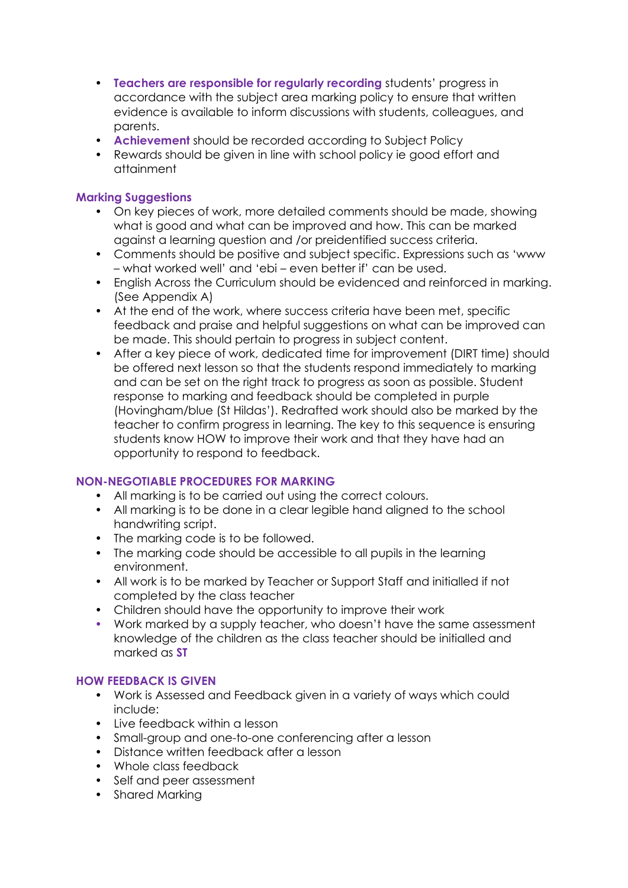- **Teachers are responsible for regularly recording** students' progress in accordance with the subject area marking policy to ensure that written evidence is available to inform discussions with students, colleagues, and parents.
- **Achievement** should be recorded according to Subject Policy
- Rewards should be given in line with school policy ie good effort and attainment

# **Marking Suggestions**

- On key pieces of work, more detailed comments should be made, showing what is good and what can be improved and how. This can be marked against a learning question and /or preidentified success criteria.
- Comments should be positive and subject specific. Expressions such as 'www – what worked well' and 'ebi – even better if' can be used.
- English Across the Curriculum should be evidenced and reinforced in marking. (See Appendix A)
- At the end of the work, where success criteria have been met, specific feedback and praise and helpful suggestions on what can be improved can be made. This should pertain to progress in subject content.
- After a key piece of work, dedicated time for improvement (DIRT time) should be offered next lesson so that the students respond immediately to marking and can be set on the right track to progress as soon as possible. Student response to marking and feedback should be completed in purple (Hovingham/blue (St Hildas'). Redrafted work should also be marked by the teacher to confirm progress in learning. The key to this sequence is ensuring students know HOW to improve their work and that they have had an opportunity to respond to feedback.

# **NON-NEGOTIABLE PROCEDURES FOR MARKING**

- All marking is to be carried out using the correct colours.
- All marking is to be done in a clear legible hand aligned to the school handwriting script.
- The marking code is to be followed.
- The marking code should be accessible to all pupils in the learning environment.
- All work is to be marked by Teacher or Support Staff and initialled if not completed by the class teacher
- Children should have the opportunity to improve their work
- Work marked by a supply teacher, who doesn't have the same assessment knowledge of the children as the class teacher should be initialled and marked as **ST**

# **HOW FEEDBACK IS GIVEN**

- Work is Assessed and Feedback given in a variety of ways which could include:
- Live feedback within a lesson
- Small-group and one-to-one conferencing after a lesson
- Distance written feedback after a lesson
- Whole class feedback
- Self and peer assessment
- Shared Marking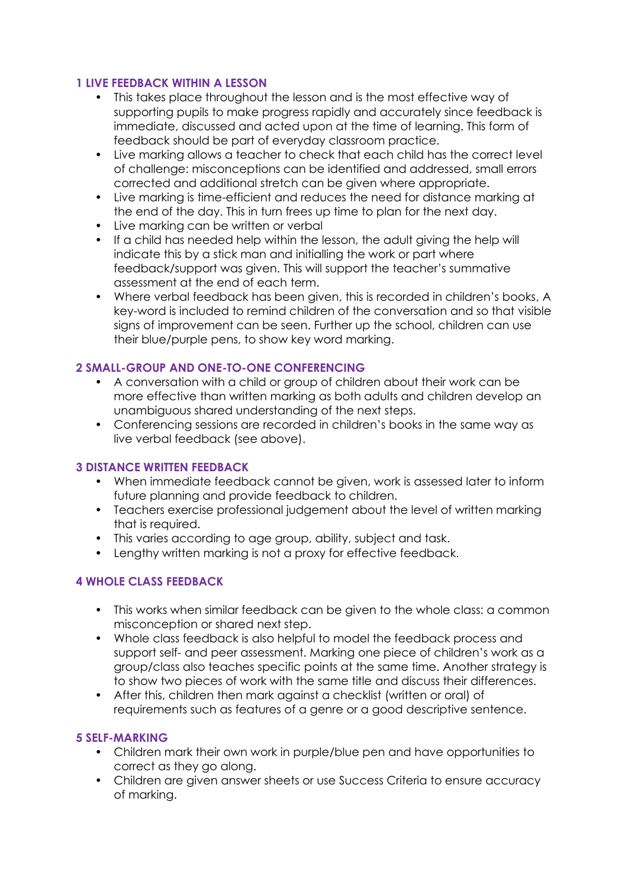# **1 LIVE FEEDBACK WITHIN A LESSON**

- This takes place throughout the lesson and is the most effective way of supporting pupils to make progress rapidly and accurately since feedback is immediate, discussed and acted upon at the time of learning. This form of feedback should be part of everyday classroom practice.
- Live marking allows a teacher to check that each child has the correct level of challenge: misconceptions can be identified and addressed, small errors corrected and additional stretch can be given where appropriate.
- Live marking is time-efficient and reduces the need for distance marking at the end of the day. This in turn frees up time to plan for the next day.
- Live marking can be written or verbal
- If a child has needed help within the lesson, the adult giving the help will indicate this by a stick man and initialling the work or part where feedback/support was given. This will support the teacher's summative assessment at the end of each term.
- Where verbal feedback has been given, this is recorded in children's books, A key-word is included to remind children of the conversation and so that visible signs of improvement can be seen. Further up the school, children can use their blue/purple pens, to show key word marking.

# **2 SMALL-GROUP AND ONE-TO-ONE CONFERENCING**

- A conversation with a child or group of children about their work can be more effective than written marking as both adults and children develop an unambiguous shared understanding of the next steps.
- Conferencing sessions are recorded in children's books in the same way as live verbal feedback (see above).

# **3 DISTANCE WRITTEN FEEDBACK**

- When immediate feedback cannot be given, work is assessed later to inform future planning and provide feedback to children.
- Teachers exercise professional judgement about the level of written marking that is required.
- This varies according to age group, ability, subject and task.
- Lengthy written marking is not a proxy for effective feedback.

# **4 WHOLE CLASS FEEDBACK**

- This works when similar feedback can be given to the whole class: a common misconception or shared next step.
- Whole class feedback is also helpful to model the feedback process and support self- and peer assessment. Marking one piece of children's work as a group/class also teaches specific points at the same time. Another strategy is to show two pieces of work with the same title and discuss their differences.
- After this, children then mark against a checklist (written or oral) of requirements such as features of a genre or a good descriptive sentence.

# **5 SELF-MARKING**

- Children mark their own work in purple/blue pen and have opportunities to correct as they go along.
- Children are given answer sheets or use Success Criteria to ensure accuracy of marking.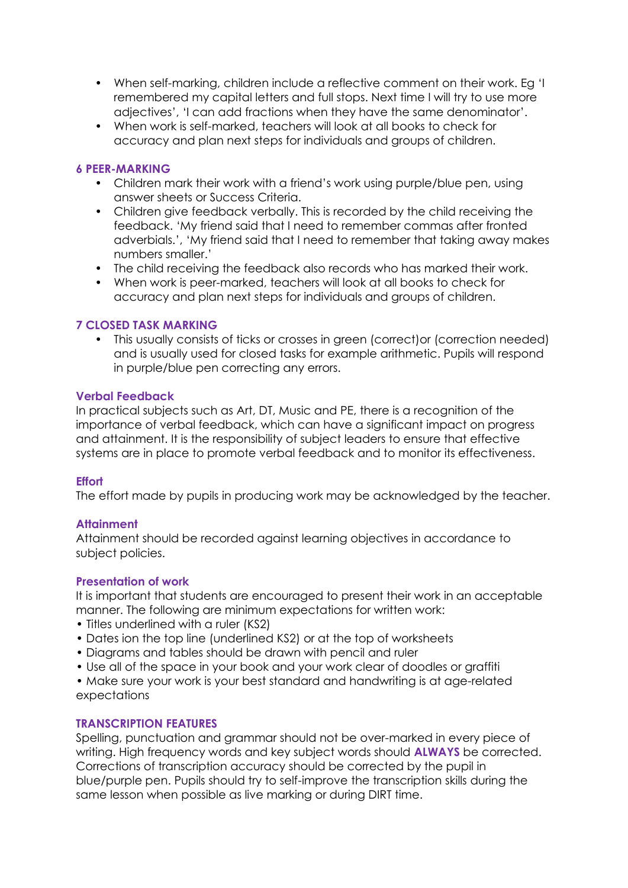- When self-marking, children include a reflective comment on their work. Eg 'I remembered my capital letters and full stops. Next time I will try to use more adjectives', 'I can add fractions when they have the same denominator'.
- When work is self-marked, teachers will look at all books to check for accuracy and plan next steps for individuals and groups of children.

#### **6 PEER-MARKING**

- Children mark their work with a friend's work using purple/blue pen, using answer sheets or Success Criteria.
- Children give feedback verbally. This is recorded by the child receiving the feedback. 'My friend said that I need to remember commas after fronted adverbials.', 'My friend said that I need to remember that taking away makes numbers smaller.'
- The child receiving the feedback also records who has marked their work.
- When work is peer-marked, teachers will look at all books to check for accuracy and plan next steps for individuals and groups of children.

## **7 CLOSED TASK MARKING**

• This usually consists of ticks or crosses in green (correct)or (correction needed) and is usually used for closed tasks for example arithmetic. Pupils will respond in purple/blue pen correcting any errors.

#### **Verbal Feedback**

In practical subjects such as Art, DT, Music and PE, there is a recognition of the importance of verbal feedback, which can have a significant impact on progress and attainment. It is the responsibility of subject leaders to ensure that effective systems are in place to promote verbal feedback and to monitor its effectiveness.

#### **Effort**

The effort made by pupils in producing work may be acknowledged by the teacher.

#### **Attainment**

Attainment should be recorded against learning objectives in accordance to subject policies.

#### **Presentation of work**

It is important that students are encouraged to present their work in an acceptable manner. The following are minimum expectations for written work:

- Titles underlined with a ruler (KS2)
- Dates ion the top line (underlined KS2) or at the top of worksheets
- Diagrams and tables should be drawn with pencil and ruler
- Use all of the space in your book and your work clear of doodles or graffiti
- Make sure your work is your best standard and handwriting is at age-related expectations

#### **TRANSCRIPTION FEATURES**

Spelling, punctuation and grammar should not be over-marked in every piece of writing. High frequency words and key subject words should **ALWAYS** be corrected. Corrections of transcription accuracy should be corrected by the pupil in blue/purple pen. Pupils should try to self-improve the transcription skills during the same lesson when possible as live marking or during DIRT time.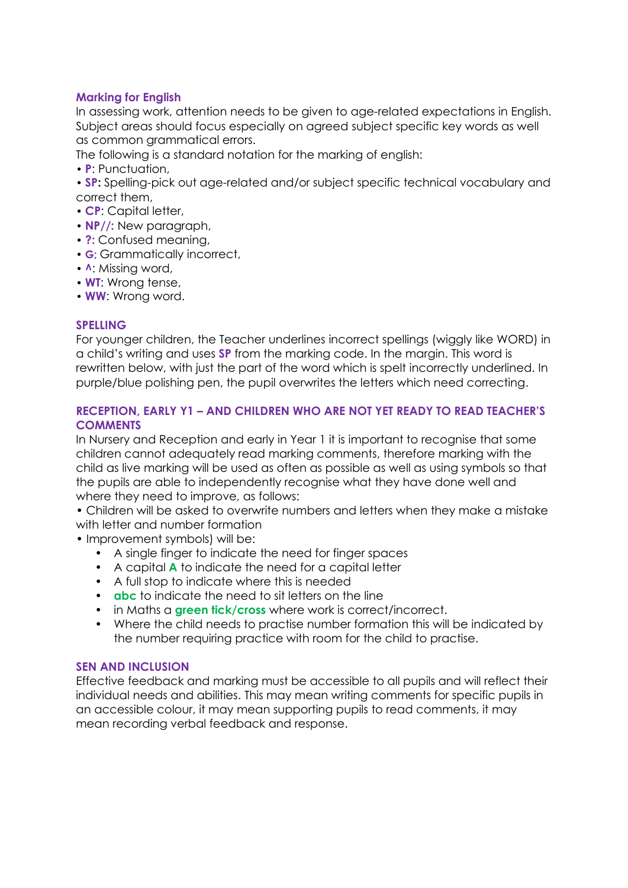## **Marking for English**

In assessing work, attention needs to be given to age-related expectations in English. Subject areas should focus especially on agreed subject specific key words as well as common grammatical errors.

The following is a standard notation for the marking of english:

- **P**: Punctuation,
- **SP:** Spelling-pick out age-related and/or subject specific technical vocabulary and correct them,
- **CP**: Capital letter,
- **NP//:** New paragraph,
- **?:** Confused meaning,
- **G;** Grammatically incorrect,
- **^**: Missing word,
- **WT**: Wrong tense,
- **WW**: Wrong word.

#### **SPELLING**

For younger children, the Teacher underlines incorrect spellings (wiggly like WORD) in a child's writing and uses **SP** from the marking code. In the margin. This word is rewritten below, with just the part of the word which is spelt incorrectly underlined. In purple/blue polishing pen, the pupil overwrites the letters which need correcting.

## **RECEPTION, EARLY Y1 – AND CHILDREN WHO ARE NOT YET READY TO READ TEACHER'S COMMENTS**

In Nursery and Reception and early in Year 1 it is important to recognise that some children cannot adequately read marking comments, therefore marking with the child as live marking will be used as often as possible as well as using symbols so that the pupils are able to independently recognise what they have done well and where they need to improve, as follows:

• Children will be asked to overwrite numbers and letters when they make a mistake with letter and number formation

- Improvement symbols) will be:
	- A single finger to indicate the need for finger spaces
	- A capital **A** to indicate the need for a capital letter
	- A full stop to indicate where this is needed
	- **abc** to indicate the need to sit letters on the line
	- in Maths a **green tick/cross** where work is correct/incorrect.
	- Where the child needs to practise number formation this will be indicated by the number requiring practice with room for the child to practise.

#### **SEN AND INCLUSION**

Effective feedback and marking must be accessible to all pupils and will reflect their individual needs and abilities. This may mean writing comments for specific pupils in an accessible colour, it may mean supporting pupils to read comments, it may mean recording verbal feedback and response.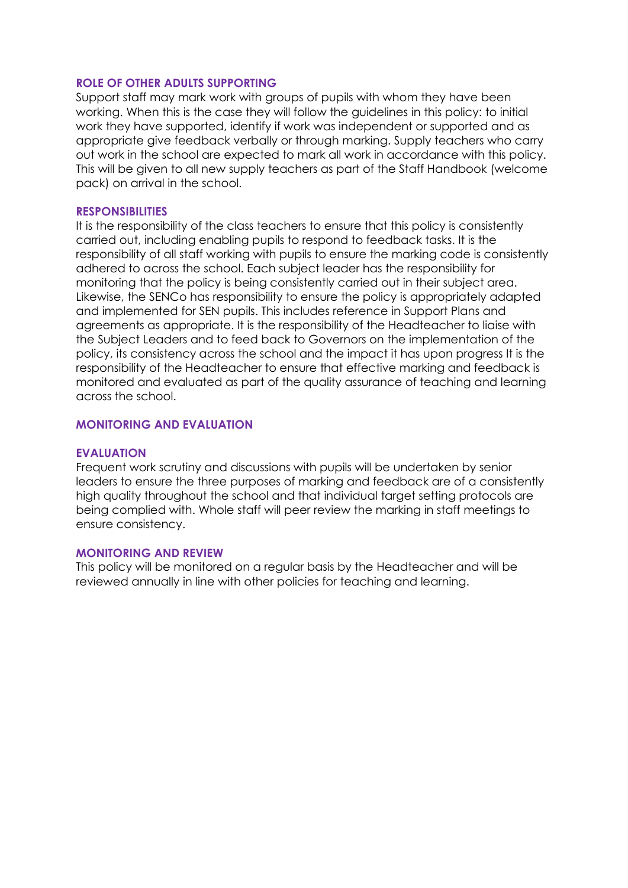#### **ROLE OF OTHER ADULTS SUPPORTING**

Support staff may mark work with groups of pupils with whom they have been working. When this is the case they will follow the guidelines in this policy: to initial work they have supported, identify if work was independent or supported and as appropriate give feedback verbally or through marking. Supply teachers who carry out work in the school are expected to mark all work in accordance with this policy. This will be given to all new supply teachers as part of the Staff Handbook (welcome pack) on arrival in the school.

#### **RESPONSIBILITIES**

It is the responsibility of the class teachers to ensure that this policy is consistently carried out, including enabling pupils to respond to feedback tasks. It is the responsibility of all staff working with pupils to ensure the marking code is consistently adhered to across the school. Each subject leader has the responsibility for monitoring that the policy is being consistently carried out in their subject area. Likewise, the SENCo has responsibility to ensure the policy is appropriately adapted and implemented for SEN pupils. This includes reference in Support Plans and agreements as appropriate. It is the responsibility of the Headteacher to liaise with the Subject Leaders and to feed back to Governors on the implementation of the policy, its consistency across the school and the impact it has upon progress It is the responsibility of the Headteacher to ensure that effective marking and feedback is monitored and evaluated as part of the quality assurance of teaching and learning across the school.

#### **MONITORING AND EVALUATION**

#### **EVALUATION**

Frequent work scrutiny and discussions with pupils will be undertaken by senior leaders to ensure the three purposes of marking and feedback are of a consistently high quality throughout the school and that individual target setting protocols are being complied with. Whole staff will peer review the marking in staff meetings to ensure consistency.

#### **MONITORING AND REVIEW**

This policy will be monitored on a regular basis by the Headteacher and will be reviewed annually in line with other policies for teaching and learning.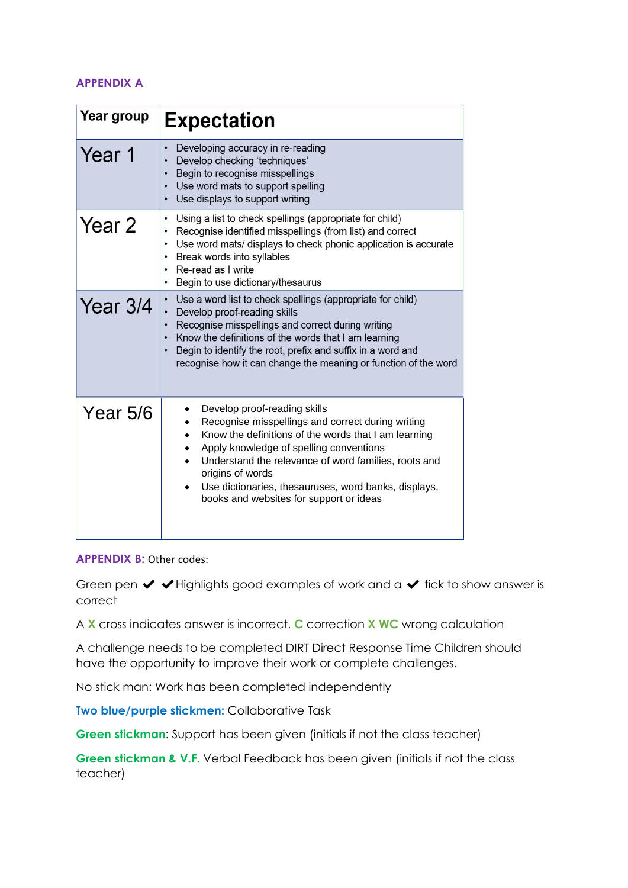# **APPENDIX A**

| Year group | <b>Expectation</b>                                                                                                                                                                                                                                                                                                                                                               |
|------------|----------------------------------------------------------------------------------------------------------------------------------------------------------------------------------------------------------------------------------------------------------------------------------------------------------------------------------------------------------------------------------|
| Year 1     | Developing accuracy in re-reading<br>٠<br>Develop checking 'techniques'<br>Begin to recognise misspellings<br>Use word mats to support spelling<br>$\bullet$<br>Use displays to support writing<br>٠                                                                                                                                                                             |
| Year 2     | Using a list to check spellings (appropriate for child)<br>٠<br>Recognise identified misspellings (from list) and correct<br>Use word mats/ displays to check phonic application is accurate<br>٠<br>Break words into syllables<br>Re-read as I write<br>٠<br>Begin to use dictionary/thesaurus<br>٠                                                                             |
| Year $3/4$ | Use a word list to check spellings (appropriate for child)<br>Develop proof-reading skills<br>Recognise misspellings and correct during writing<br>Know the definitions of the words that I am learning<br>Begin to identify the root, prefix and suffix in a word and<br>recognise how it can change the meaning or function of the word                                        |
| Year 5/6   | Develop proof-reading skills<br>Recognise misspellings and correct during writing<br>Know the definitions of the words that I am learning<br>$\bullet$<br>Apply knowledge of spelling conventions<br>Understand the relevance of word families, roots and<br>origins of words<br>Use dictionaries, thesauruses, word banks, displays,<br>books and websites for support or ideas |

#### **APPENDIX B: Other codes:**

Green pen  $\vee \vee$  Highlights good examples of work and a  $\vee$  tick to show answer is correct

A **X** cross indicates answer is incorrect. **C** correction **X WC** wrong calculation

A challenge needs to be completed DIRT Direct Response Time Children should have the opportunity to improve their work or complete challenges.

No stick man: Work has been completed independently

**Two blue/purple stickmen:** Collaborative Task

**Green stickman**: Support has been given (initials if not the class teacher)

**Green stickman & V.F.** Verbal Feedback has been given (initials if not the class teacher)